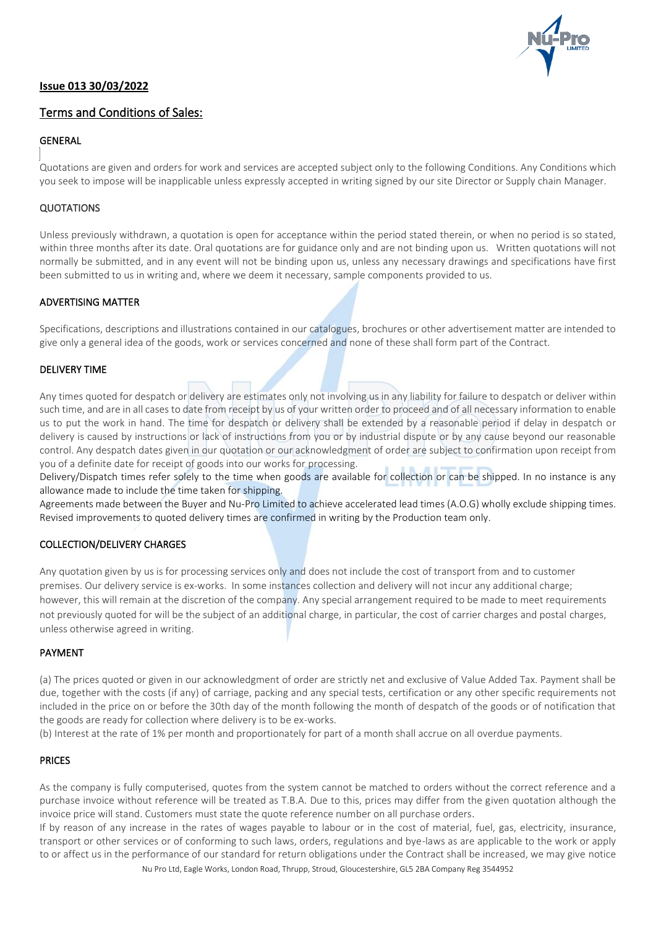

## Terms and Conditions of Sales:

## GENERAL

Quotations are given and orders for work and services are accepted subject only to the following Conditions. Any Conditions which you seek to impose will be inapplicable unless expressly accepted in writing signed by our site Director or Supply chain Manager.

## **QUOTATIONS**

Unless previously withdrawn, a quotation is open for acceptance within the period stated therein, or when no period is so stated, within three months after its date. Oral quotations are for guidance only and are not binding upon us. Written quotations will not normally be submitted, and in any event will not be binding upon us, unless any necessary drawings and specifications have first been submitted to us in writing and, where we deem it necessary, sample components provided to us.

#### ADVERTISING MATTER

Specifications, descriptions and illustrations contained in our catalogues, brochures or other advertisement matter are intended to give only a general idea of the goods, work or services concerned and none of these shall form part of the Contract.

#### DELIVERY TIME

Any times quoted for despatch or delivery are estimates only not involving us in any liability for failure to despatch or deliver within such time, and are in all cases to date from receipt by us of your written order to proceed and of all necessary information to enable us to put the work in hand. The time for despatch or delivery shall be extended by a reasonable period if delay in despatch or delivery is caused by instructions or lack of instructions from you or by industrial dispute or by any cause beyond our reasonable control. Any despatch dates given in our quotation or our acknowledgment of order are subject to confirmation upon receipt from you of a definite date for receipt of goods into our works for processing.

Delivery/Dispatch times refer solely to the time when goods are available for collection or can be shipped. In no instance is any allowance made to include the time taken for shipping.

Agreements made between the Buyer and Nu-Pro Limited to achieve accelerated lead times (A.O.G) wholly exclude shipping times. Revised improvements to quoted delivery times are confirmed in writing by the Production team only.

## COLLECTION/DELIVERY CHARGES

Any quotation given by us is for processing services only and does not include the cost of transport from and to customer premises. Our delivery service is ex-works. In some instances collection and delivery will not incur any additional charge; however, this will remain at the discretion of the company. Any special arrangement required to be made to meet requirements not previously quoted for will be the subject of an additional charge, in particular, the cost of carrier charges and postal charges, unless otherwise agreed in writing.

#### PAYMENT

(a) The prices quoted or given in our acknowledgment of order are strictly net and exclusive of Value Added Tax. Payment shall be due, together with the costs (if any) of carriage, packing and any special tests, certification or any other specific requirements not included in the price on or before the 30th day of the month following the month of despatch of the goods or of notification that the goods are ready for collection where delivery is to be ex-works.

(b) Interest at the rate of 1% per month and proportionately for part of a month shall accrue on all overdue payments.

#### PRICES

As the company is fully computerised, quotes from the system cannot be matched to orders without the correct reference and a purchase invoice without reference will be treated as T.B.A. Due to this, prices may differ from the given quotation although the invoice price will stand. Customers must state the quote reference number on all purchase orders.

Nu Pro Ltd, Eagle Works, London Road, Thrupp, Stroud, Gloucestershire, GL5 2BA Company Reg 3544952 If by reason of any increase in the rates of wages payable to labour or in the cost of material, fuel, gas, electricity, insurance, transport or other services or of conforming to such laws, orders, regulations and bye-laws as are applicable to the work or apply to or affect us in the performance of our standard for return obligations under the Contract shall be increased, we may give notice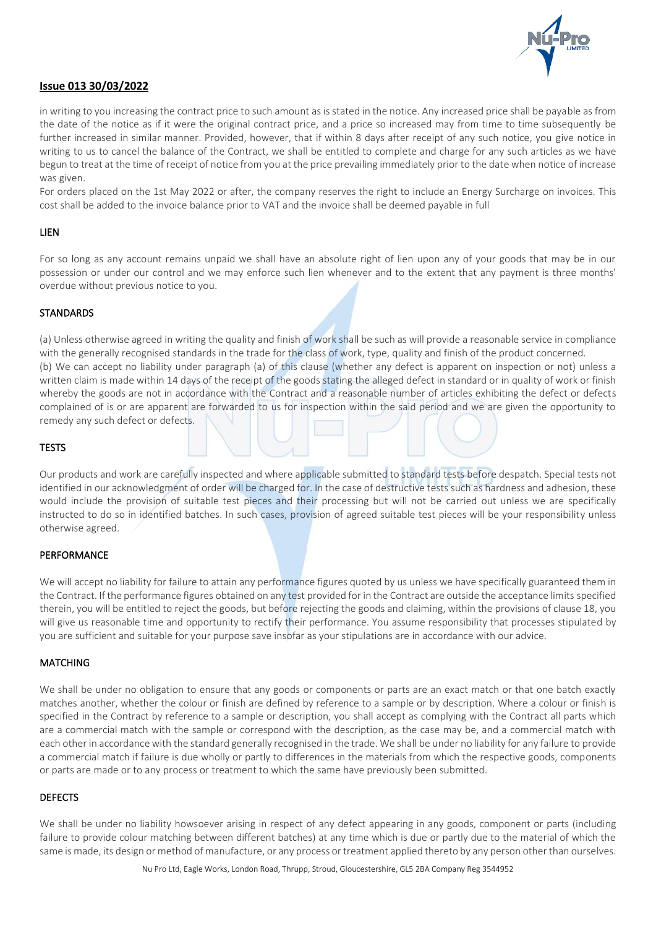

in writing to you increasing the contract price to such amount as is stated in the notice. Any increased price shall be payable as from the date of the notice as if it were the original contract price, and a price so increased may from time to time subsequently be further increased in similar manner. Provided, however, that if within 8 days after receipt of any such notice, you give notice in writing to us to cancel the balance of the Contract, we shall be entitled to complete and charge for any such articles as we have begun to treat at the time of receipt of notice from you at the price prevailing immediately prior to the date when notice of increase was given.

For orders placed on the 1st May 2022 or after, the company reserves the right to include an Energy Surcharge on invoices. This cost shall be added to the invoice balance prior to VAT and the invoice shall be deemed payable in full

#### LIEN

For so long as any account remains unpaid we shall have an absolute right of lien upon any of your goods that may be in our possession or under our control and we may enforce such lien whenever and to the extent that any payment is three months' overdue without previous notice to you.

#### **STANDARDS**

(a) Unless otherwise agreed in writing the quality and finish of work shall be such as will provide a reasonable service in compliance with the generally recognised standards in the trade for the class of work, type, quality and finish of the product concerned. (b) We can accept no liability under paragraph (a) of this clause (whether any defect is apparent on inspection or not) unless a written claim is made within 14 days of the receipt of the goods stating the alleged defect in standard or in quality of work or finish whereby the goods are not in accordance with the Contract and a reasonable number of articles exhibiting the defect or defects complained of is or are apparent are forwarded to us for inspection within the said period and we are given the opportunity to remedy any such defect or defects.

#### **TESTS**

Our products and work are carefully inspected and where applicable submitted to standard tests before despatch. Special tests not identified in our acknowledgment of order will be charged for. In the case of destructive tests such as hardness and adhesion, these would include the provision of suitable test pieces and their processing but will not be carried out unless we are specifically instructed to do so in identified batches. In such cases, provision of agreed suitable test pieces will be your responsibility unless otherwise agreed.

#### **PERFORMANCE**

We will accept no liability for failure to attain any performance figures quoted by us unless we have specifically guaranteed them in the Contract. If the performance figures obtained on any test provided for in the Contract are outside the acceptance limits specified therein, you will be entitled to reject the goods, but before rejecting the goods and claiming, within the provisions of clause 18, you will give us reasonable time and opportunity to rectify their performance. You assume responsibility that processes stipulated by you are sufficient and suitable for your purpose save insofar as your stipulations are in accordance with our advice.

#### **MATCHING**

We shall be under no obligation to ensure that any goods or components or parts are an exact match or that one batch exactly matches another, whether the colour or finish are defined by reference to a sample or by description. Where a colour or finish is specified in the Contract by reference to a sample or description, you shall accept as complying with the Contract all parts which are a commercial match with the sample or correspond with the description, as the case may be, and a commercial match with each other in accordance with the standard generally recognised in the trade. We shall be under no liability for any failure to provide a commercial match if failure is due wholly or partly to differences in the materials from which the respective goods, components or parts are made or to any process or treatment to which the same have previously been submitted.

#### DEFECTS

We shall be under no liability howsoever arising in respect of any defect appearing in any goods, component or parts (including failure to provide colour matching between different batches) at any time which is due or partly due to the material of which the same is made, its design or method of manufacture, or any process or treatment applied thereto by any person other than ourselves.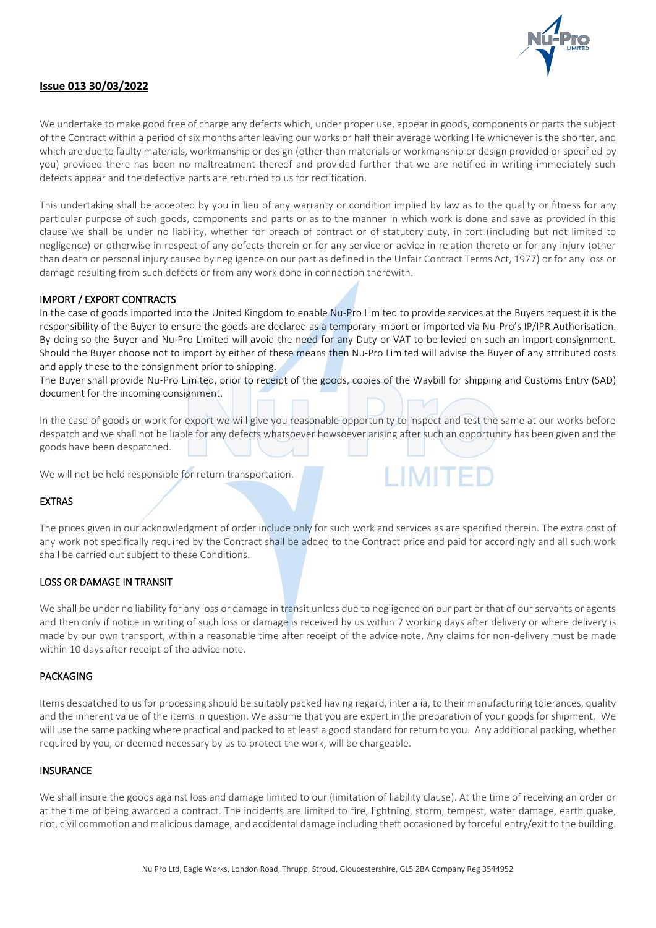

We undertake to make good free of charge any defects which, under proper use, appear in goods, components or parts the subject of the Contract within a period of six months after leaving our works or half their average working life whichever is the shorter, and which are due to faulty materials, workmanship or design (other than materials or workmanship or design provided or specified by you) provided there has been no maltreatment thereof and provided further that we are notified in writing immediately such defects appear and the defective parts are returned to us for rectification.

This undertaking shall be accepted by you in lieu of any warranty or condition implied by law as to the quality or fitness for any particular purpose of such goods, components and parts or as to the manner in which work is done and save as provided in this clause we shall be under no liability, whether for breach of contract or of statutory duty, in tort (including but not limited to negligence) or otherwise in respect of any defects therein or for any service or advice in relation thereto or for any injury (other than death or personal injury caused by negligence on our part as defined in the Unfair Contract Terms Act, 1977) or for any loss or damage resulting from such defects or from any work done in connection therewith.

#### IMPORT / EXPORT CONTRACTS

In the case of goods imported into the United Kingdom to enable Nu-Pro Limited to provide services at the Buyers request it is the responsibility of the Buyer to ensure the goods are declared as a temporary import or imported via Nu-Pro's IP/IPR Authorisation. By doing so the Buyer and Nu-Pro Limited will avoid the need for any Duty or VAT to be levied on such an import consignment. Should the Buyer choose not to import by either of these means then Nu-Pro Limited will advise the Buyer of any attributed costs and apply these to the consignment prior to shipping.

The Buyer shall provide Nu-Pro Limited, prior to receipt of the goods, copies of the Waybill for shipping and Customs Entry (SAD) document for the incoming consignment.

In the case of goods or work for export we will give you reasonable opportunity to inspect and test the same at our works before despatch and we shall not be liable for any defects whatsoever howsoever arising after such an opportunity has been given and the goods have been despatched.

**I IMITED** 

We will not be held responsible for return transportation.

#### EXTRAS

The prices given in our acknowledgment of order include only for such work and services as are specified therein. The extra cost of any work not specifically required by the Contract shall be added to the Contract price and paid for accordingly and all such work shall be carried out subject to these Conditions.

#### LOSS OR DAMAGE IN TRANSIT

We shall be under no liability for any loss or damage in transit unless due to negligence on our part or that of our servants or agents and then only if notice in writing of such loss or damage is received by us within 7 working days after delivery or where delivery is made by our own transport, within a reasonable time after receipt of the advice note. Any claims for non-delivery must be made within 10 days after receipt of the advice note.

#### PACKAGING

Items despatched to us for processing should be suitably packed having regard, inter alia, to their manufacturing tolerances, quality and the inherent value of the items in question. We assume that you are expert in the preparation of your goods for shipment. We will use the same packing where practical and packed to at least a good standard for return to you. Any additional packing, whether required by you, or deemed necessary by us to protect the work, will be chargeable.

#### **INSURANCE**

We shall insure the goods against loss and damage limited to our (limitation of liability clause). At the time of receiving an order or at the time of being awarded a contract. The incidents are limited to fire, lightning, storm, tempest, water damage, earth quake, riot, civil commotion and malicious damage, and accidental damage including theft occasioned by forceful entry/exit to the building.